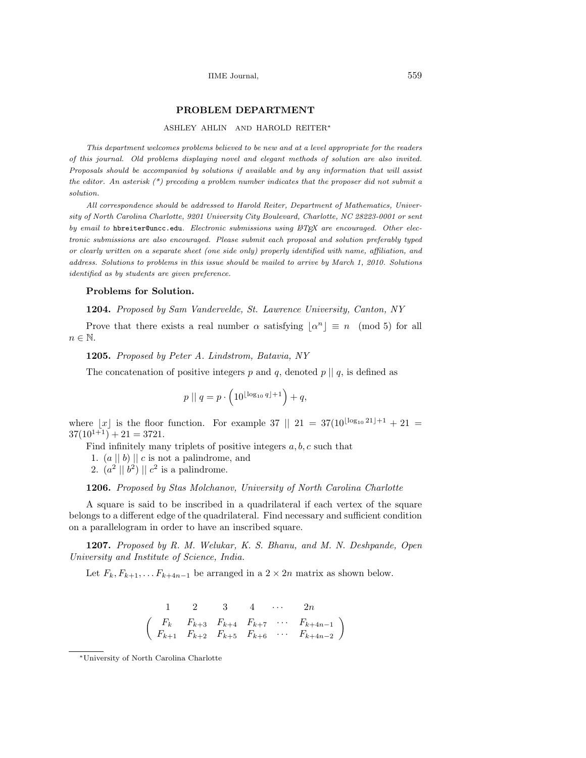# PROBLEM DEPARTMENT

#### ASHLEY AHLIN AND HAROLD REITER<sup>∗</sup>

This department welcomes problems believed to be new and at a level appropriate for the readers of this journal. Old problems displaying novel and elegant methods of solution are also invited. Proposals should be accompanied by solutions if available and by any information that will assist the editor. An asterisk  $(*)$  preceding a problem number indicates that the proposer did not submit a solution.

All correspondence should be addressed to Harold Reiter, Department of Mathematics, University of North Carolina Charlotte, 9201 University City Boulevard, Charlotte, NC 28223-0001 or sent by email to hbreiter@uncc.edu. Electronic submissions using  $\mathbb{A}T$ FX are encouraged. Other electronic submissions are also encouraged. Please submit each proposal and solution preferably typed or clearly written on a separate sheet (one side only) properly identified with name, affiliation, and address. Solutions to problems in this issue should be mailed to arrive by March 1, 2010. Solutions identified as by students are given preference.

## Problems for Solution.

## 1204. Proposed by Sam Vandervelde, St. Lawrence University, Canton, NY

Prove that there exists a real number  $\alpha$  satisfying  $\lfloor \alpha^n \rfloor \equiv n \pmod{5}$  for all  $n \in \mathbb{N}$ .

#### 1205. Proposed by Peter A. Lindstrom, Batavia, NY

The concatenation of positive integers p and q, denoted  $p \parallel q$ , is defined as

$$
p \mid q = p \cdot \left(10^{\lfloor \log_{10} q \rfloor + 1}\right) + q,
$$

where |x| is the floor function. For example 37 || 21 =  $37(10^{\lfloor \log_{10} 21 \rfloor + 1} + 21 =$  $37(10^{1+1}) + 21 = 3721.$ 

Find infinitely many triplets of positive integers  $a, b, c$  such that

1.  $(a || b) || c$  is not a palindrome, and

2.  $(a^2 || b^2) || c^2$  is a palindrome.

## 1206. Proposed by Stas Molchanov, University of North Carolina Charlotte

A square is said to be inscribed in a quadrilateral if each vertex of the square belongs to a different edge of the quadrilateral. Find necessary and sufficient condition on a parallelogram in order to have an inscribed square.

1207. Proposed by R. M. Welukar, K. S. Bhanu, and M. N. Deshpande, Open University and Institute of Science, India.

Let  $F_k, F_{k+1}, \ldots F_{k+4n-1}$  be arranged in a  $2 \times 2n$  matrix as shown below.

$$
\begin{pmatrix}\n1 & 2 & 3 & 4 & \cdots & 2n \\
F_k & F_{k+3} & F_{k+4} & F_{k+7} & \cdots & F_{k+4n-1} \\
F_{k+1} & F_{k+2} & F_{k+5} & F_{k+6} & \cdots & F_{k+4n-2}\n\end{pmatrix}
$$

<sup>∗</sup>University of North Carolina Charlotte